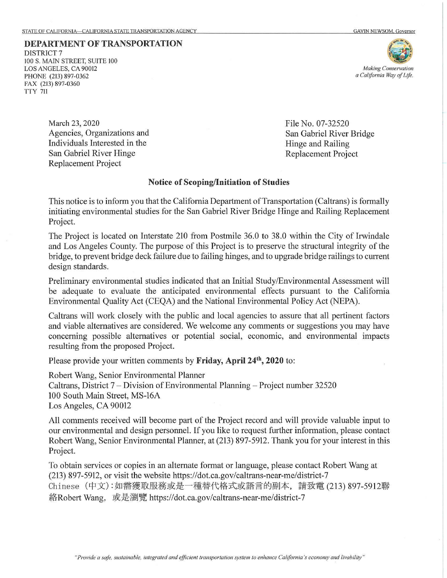**DEPARTMENT OF TRANSPORTATION** 

## *Making Conservation a California Way of life.*

File No. 07-32520

Hinge and Railing Replacement Project

San Gabriel River Bridge

DISTRICT? l00 S. MAIN STREET, SUITE 100 LOS ANGELES, CA 90012 PHONE (213) 897-0362 FAX (213) 897-0360 TTY 711

> March 23, 2020 Agencies, Organizations and Individuals Interested in the San Gabriel River Hinge Replacement Project

## **Notice of Scoping/Initiation of Studies**

This notice is to inform you that the California Department of Transportation (Caltrans) is formally initiating environmental studies for the San Gabriel River Bridge Hinge and Railing Replacement Project.

The Project is located on Interstate 210 from Postmile 36.0 to 38.0 within the City of Irwindale and Los Angeles County. The purpose of this Project is to preserve the structural integrity of the bridge, to prevent bridge deck failure due to failing hinges, and to upgrade bridge railings to current design standards.

Preliminary environmental studies indicated that an Initial Study/Environmental Assessment will be adequate to evaluate the anticipated environmental effects pursuant to the California Environmental Quality Act (CEQA) and the National Environmental Policy Act (NEPA).

Caltrans will work closely with the public and local agencies to assure that all pertinent factors and viable alternatives are considered. We welcome any comments or suggestions you may have concerning possible alternatives or potential social, economic, and environmental impacts resulting from the proposed Project.

Please provide your written comments by **Friday, April 24th, 2020** to:

Robert Wang, Senior Environmental Planner Caltrans, District 7 – Division of Environmental Planning – Project number 32520 100 South Main Street, MS-16A Los Angeles, CA 90012

All comments received will become part of the Project record and will provide valuable input to our environmental and design personnel. If you like to request further information, please contact Robert Wang, Senior Environmental Planner, at (213) 897-5912. Thank you for your interest in this Project.

To obtain services or copies in an alternate format or language, please contact Robert Wang at (213) 897-5912, or visit the website https://dot.ca.gov/caltrans-near-me/district-7 Chinese (中文):如需獲取服務或是一種替代格式或語言的副本, 請致電 (213) 897-5912聯 ~ Robe1t Wang, *~t&il~W'.* https://dot.ca.gov/caltrans-near-me/district-7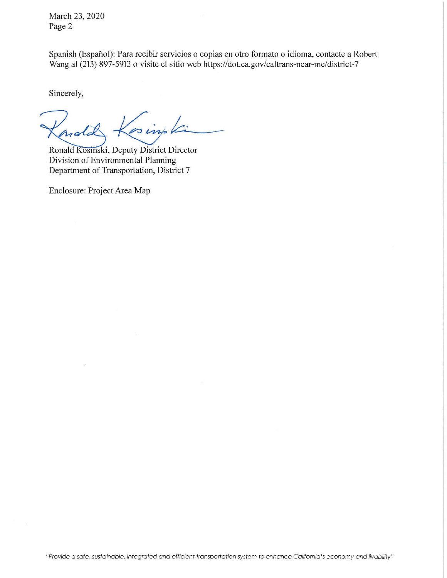March 23, 2020 Page 2

Spanish (Espafiol): Para recibir servicios o copias en otro formato o idioma, contacte a Robert Wang al (213) 897-5912 o visite el sitio web https://dot.ca.gov/caltrans-near-me/district-7

Sincerely,

sing ki nold

Ronald Kosinski, Deputy District Director Division of Environmental Planning Department of Transportation, District 7

Enclosure: Project Area Map